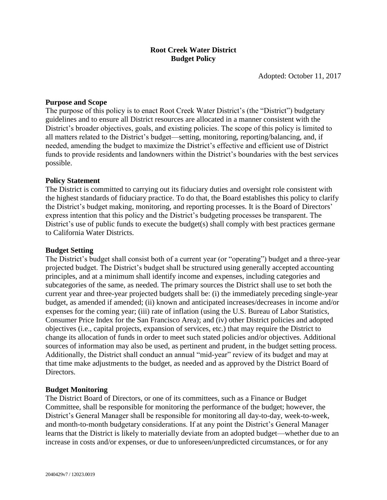# **Root Creek Water District Budget Policy**

Adopted: October 11, 2017

## **Purpose and Scope**

The purpose of this policy is to enact Root Creek Water District's (the "District") budgetary guidelines and to ensure all District resources are allocated in a manner consistent with the District's broader objectives, goals, and existing policies. The scope of this policy is limited to all matters related to the District's budget—setting, monitoring, reporting/balancing, and, if needed, amending the budget to maximize the District's effective and efficient use of District funds to provide residents and landowners within the District's boundaries with the best services possible.

### **Policy Statement**

The District is committed to carrying out its fiduciary duties and oversight role consistent with the highest standards of fiduciary practice. To do that, the Board establishes this policy to clarify the District's budget making, monitoring, and reporting processes. It is the Board of Directors' express intention that this policy and the District's budgeting processes be transparent. The District's use of public funds to execute the budget(s) shall comply with best practices germane to California Water Districts.

### **Budget Setting**

The District's budget shall consist both of a current year (or "operating") budget and a three-year projected budget. The District's budget shall be structured using generally accepted accounting principles, and at a minimum shall identify income and expenses, including categories and subcategories of the same, as needed. The primary sources the District shall use to set both the current year and three-year projected budgets shall be: (i) the immediately preceding single-year budget, as amended if amended; (ii) known and anticipated increases/decreases in income and/or expenses for the coming year; (iii) rate of inflation (using the U.S. Bureau of Labor Statistics, Consumer Price Index for the San Francisco Area); and (iv) other District policies and adopted objectives (i.e., capital projects, expansion of services, etc.) that may require the District to change its allocation of funds in order to meet such stated policies and/or objectives. Additional sources of information may also be used, as pertinent and prudent, in the budget setting process. Additionally, the District shall conduct an annual "mid-year" review of its budget and may at that time make adjustments to the budget, as needed and as approved by the District Board of Directors.

### **Budget Monitoring**

The District Board of Directors, or one of its committees, such as a Finance or Budget Committee, shall be responsible for monitoring the performance of the budget; however, the District's General Manager shall be responsible for monitoring all day-to-day, week-to-week, and month-to-month budgetary considerations. If at any point the District's General Manager learns that the District is likely to materially deviate from an adopted budget—whether due to an increase in costs and/or expenses, or due to unforeseen/unpredicted circumstances, or for any